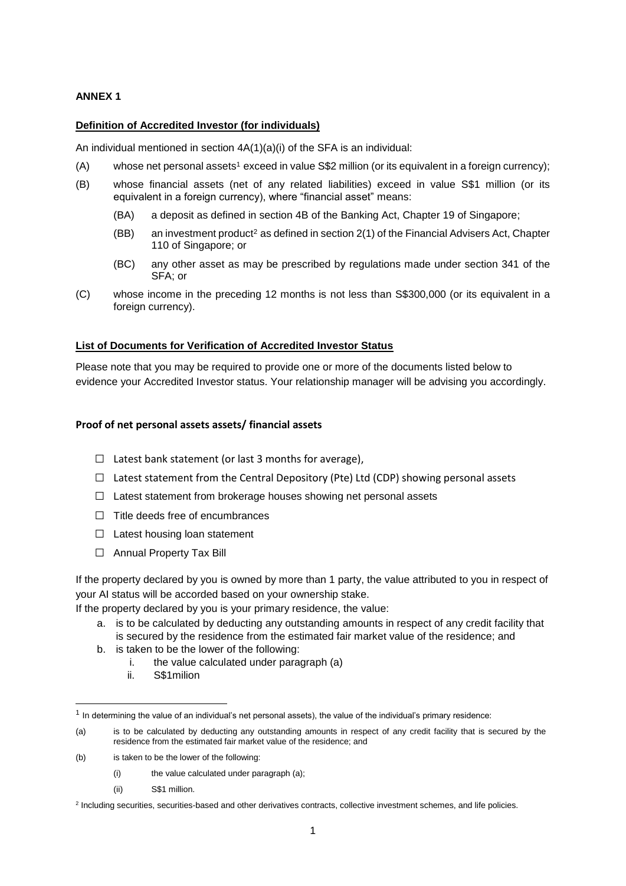## **ANNEX 1**

### **Definition of Accredited Investor (for individuals)**

An individual mentioned in section 4A(1)(a)(i) of the SFA is an individual:

- (A) whose net personal assets<sup>1</sup> exceed in value  $\$\$2$  million (or its equivalent in a foreign currency);
- (B) whose financial assets (net of any related liabilities) exceed in value S\$1 million (or its equivalent in a foreign currency), where "financial asset" means:
	- (BA) a deposit as defined in section 4B of the Banking Act, Chapter 19 of Singapore;
	- (BB) an investment product<sup>2</sup> as defined in section  $2(1)$  of the Financial Advisers Act, Chapter 110 of Singapore; or
	- (BC) any other asset as may be prescribed by regulations made under section 341 of the SFA; or
- (C) whose income in the preceding 12 months is not less than S\$300,000 (or its equivalent in a foreign currency).

#### **List of Documents for Verification of Accredited Investor Status**

Please note that you may be required to provide one or more of the documents listed below to evidence your Accredited Investor status. Your relationship manager will be advising you accordingly.

#### **Proof of net personal assets assets/ financial assets**

- $\Box$  Latest bank statement (or last 3 months for average),
- $\Box$  Latest statement from the Central Depository (Pte) Ltd (CDP) showing personal assets
- $\Box$  Latest statement from brokerage houses showing net personal assets
- □ Title deeds free of encumbrances
- □ Latest housing loan statement
- □ Annual Property Tax Bill

If the property declared by you is owned by more than 1 party, the value attributed to you in respect of your AI status will be accorded based on your ownership stake.

If the property declared by you is your primary residence, the value:

- a. is to be calculated by deducting any outstanding amounts in respect of any credit facility that is secured by the residence from the estimated fair market value of the residence; and
- b. is taken to be the lower of the following:
	- i. the value calculated under paragraph (a)
	- ii. S\$1milion

1

(ii) S\$1 million.

<sup>&</sup>lt;sup>1</sup> In determining the value of an individual's net personal assets), the value of the individual's primary residence:

<sup>(</sup>a) is to be calculated by deducting any outstanding amounts in respect of any credit facility that is secured by the residence from the estimated fair market value of the residence; and

<sup>(</sup>b) is taken to be the lower of the following:

<sup>(</sup>i) the value calculated under paragraph (a);

<sup>&</sup>lt;sup>2</sup> Including securities, securities-based and other derivatives contracts, collective investment schemes, and life policies.